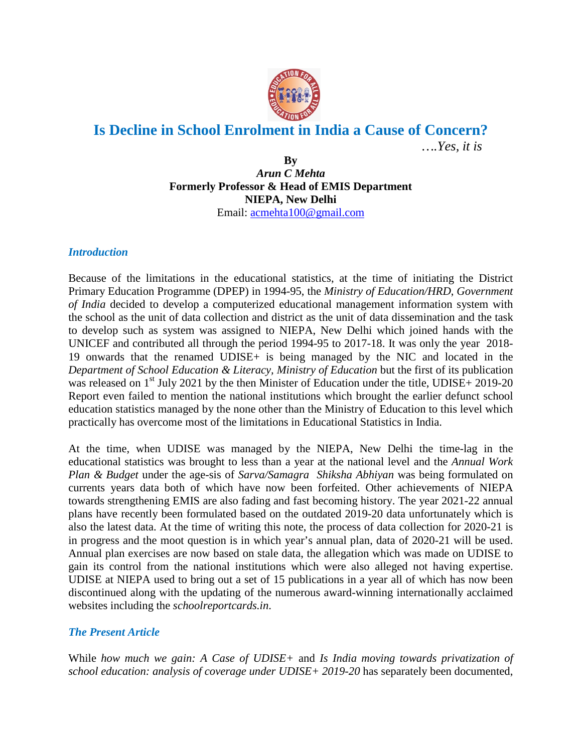

## **Is Decline in School Enrolment in India a Cause of Concern?**

*….Yes, it is*

**By** *Arun C Mehta* **Formerly Professor & Head of EMIS Department NIEPA, New Delhi**  Email: [acmehta100@gmail.com](mailto:acmehta100@gmail.com)

## *Introduction*

Because of the limitations in the educational statistics, at the time of initiating the District Primary Education Programme (DPEP) in 1994-95, the *Ministry of Education/HRD*, *Government of India* decided to develop a computerized educational management information system with the school as the unit of data collection and district as the unit of data dissemination and the task to develop such as system was assigned to NIEPA, New Delhi which joined hands with the UNICEF and contributed all through the period 1994-95 to 2017-18. It was only the year 2018- 19 onwards that the renamed UDISE+ is being managed by the NIC and located in the *Department of School Education & Literacy, Ministry of Education* but the first of its publication was released on  $1<sup>st</sup>$  July 2021 by the then Minister of Education under the title, UDISE+ 2019-20 Report even failed to mention the national institutions which brought the earlier defunct school education statistics managed by the none other than the Ministry of Education to this level which practically has overcome most of the limitations in Educational Statistics in India.

At the time, when UDISE was managed by the NIEPA, New Delhi the time-lag in the educational statistics was brought to less than a year at the national level and the *Annual Work Plan & Budget* under the age-sis of *Sarva/Samagra Shiksha Abhiyan* was being formulated on currents years data both of which have now been forfeited. Other achievements of NIEPA towards strengthening EMIS are also fading and fast becoming history. The year 2021-22 annual plans have recently been formulated based on the outdated 2019-20 data unfortunately which is also the latest data. At the time of writing this note, the process of data collection for 2020-21 is in progress and the moot question is in which year's annual plan, data of 2020-21 will be used. Annual plan exercises are now based on stale data, the allegation which was made on UDISE to gain its control from the national institutions which were also alleged not having expertise. UDISE at NIEPA used to bring out a set of 15 publications in a year all of which has now been discontinued along with the updating of the numerous award-winning internationally acclaimed websites including the *schoolreportcards.in*.

## *The Present Article*

While *how much we gain: A Case of UDISE+* and *Is India moving towards privatization of school education: analysis of coverage under UDISE+ 2019-20* has separately been documented,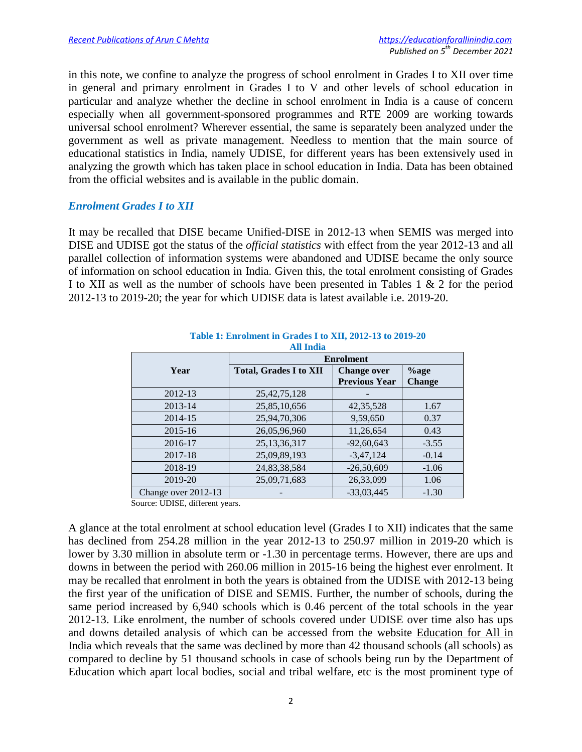in this note, we confine to analyze the progress of school enrolment in Grades I to XII over time in general and primary enrolment in Grades I to V and other levels of school education in particular and analyze whether the decline in school enrolment in India is a cause of concern especially when all government-sponsored programmes and RTE 2009 are working towards universal school enrolment? Wherever essential, the same is separately been analyzed under the government as well as private management. Needless to mention that the main source of educational statistics in India, namely UDISE, for different years has been extensively used in analyzing the growth which has taken place in school education in India. Data has been obtained from the official websites and is available in the public domain.

## *Enrolment Grades I to XII*

It may be recalled that DISE became Unified-DISE in 2012-13 when SEMIS was merged into DISE and UDISE got the status of the *official statistics* with effect from the year 2012-13 and all parallel collection of information systems were abandoned and UDISE became the only source of information on school education in India. Given this, the total enrolment consisting of Grades I to XII as well as the number of schools have been presented in Tables 1 & 2 for the period 2012-13 to 2019-20; the year for which UDISE data is latest available i.e. 2019-20.

| <b>All India</b>    |                               |                      |               |  |  |  |  |
|---------------------|-------------------------------|----------------------|---------------|--|--|--|--|
|                     | <b>Enrolment</b>              |                      |               |  |  |  |  |
| Year                | <b>Total, Grades I to XII</b> | <b>Change over</b>   | $\%$ age      |  |  |  |  |
|                     |                               | <b>Previous Year</b> | <b>Change</b> |  |  |  |  |
| 2012-13             | 25, 42, 75, 128               |                      |               |  |  |  |  |
| 2013-14             | 25,85,10,656                  | 42, 35, 528          | 1.67          |  |  |  |  |
| 2014-15             | 25,94,70,306                  | 9,59,650             | 0.37          |  |  |  |  |
| 2015-16             | 26,05,96,960                  | 11,26,654            | 0.43          |  |  |  |  |
| 2016-17             | 25, 13, 36, 317               | $-92,60,643$         | $-3.55$       |  |  |  |  |
| 2017-18             | 25,09,89,193                  | $-3,47,124$          | $-0.14$       |  |  |  |  |
| 2018-19             | 24,83,38,584                  | $-26,50,609$         | $-1.06$       |  |  |  |  |
| 2019-20             | 25,09,71,683                  | 26,33,099            | 1.06          |  |  |  |  |
| Change over 2012-13 |                               | $-33,03,445$         | $-1.30$       |  |  |  |  |

# **Table 1: Enrolment in Grades I to XII, 2012-13 to 2019-20**

Source: UDISE, different years.

A glance at the total enrolment at school education level (Grades I to XII) indicates that the same has declined from 254.28 million in the year 2012-13 to 250.97 million in 2019-20 which is lower by 3.30 million in absolute term or -1.30 in percentage terms. However, there are ups and downs in between the period with 260.06 million in 2015-16 being the highest ever enrolment. It may be recalled that enrolment in both the years is obtained from the UDISE with 2012-13 being the first year of the unification of DISE and SEMIS. Further, the number of schools, during the same period increased by 6,940 schools which is 0.46 percent of the total schools in the year 2012-13. Like enrolment, the number of schools covered under UDISE over time also has ups and downs detailed analysis of which can be accessed from the website [Education for All in](https://educationforallinindia.com/is-india-moving-towards-privatisation-of-school-education/)  [India](https://educationforallinindia.com/is-india-moving-towards-privatisation-of-school-education/) which reveals that the same was declined by more than 42 thousand schools (all schools) as compared to decline by 51 thousand schools in case of schools being run by the Department of Education which apart local bodies, social and tribal welfare, etc is the most prominent type of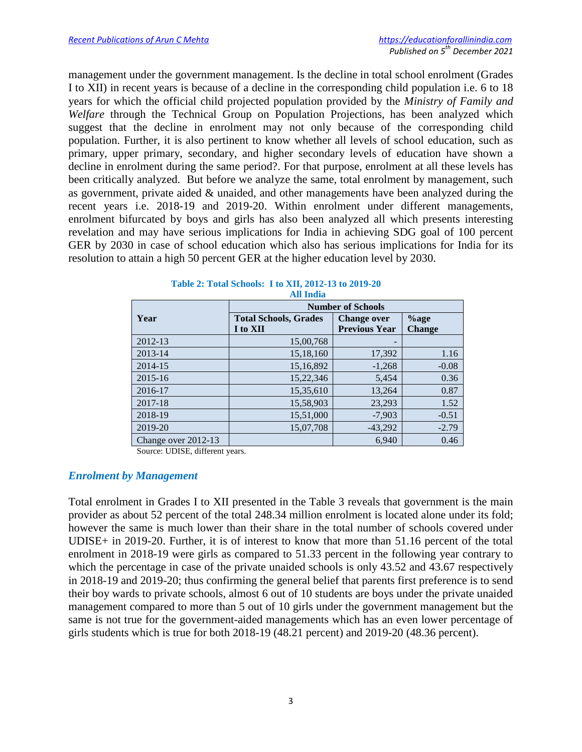management under the government management. Is the decline in total school enrolment (Grades I to XII) in recent years is because of a decline in the corresponding child population i.e. 6 to 18 years for which the official child projected population provided by the *Ministry of Family and Welfare* through the Technical Group on Population Projections, has been analyzed which suggest that the decline in enrolment may not only because of the corresponding child population. Further, it is also pertinent to know whether all levels of school education, such as primary, upper primary, secondary, and higher secondary levels of education have shown a decline in enrolment during the same period?. For that purpose, enrolment at all these levels has been critically analyzed. But before we analyze the same, total enrolment by management, such as government, private aided & unaided, and other managements have been analyzed during the recent years i.e. 2018-19 and 2019-20. Within enrolment under different managements, enrolment bifurcated by boys and girls has also been analyzed all which presents interesting revelation and may have serious implications for India in achieving SDG goal of 100 percent GER by 2030 in case of school education which also has serious implications for India for its resolution to attain a high 50 percent GER at the higher education level by 2030.

|                     |                              | <b>Number of Schools</b> |               |
|---------------------|------------------------------|--------------------------|---------------|
| Year                | <b>Total Schools, Grades</b> | <b>Change over</b>       | $%$ age       |
|                     | I to XII                     | <b>Previous Year</b>     | <b>Change</b> |
| 2012-13             | 15,00,768                    |                          |               |
| 2013-14             | 15,18,160                    | 17,392                   | 1.16          |
| 2014-15             | 15,16,892                    | $-1,268$                 | $-0.08$       |
| 2015-16             | 15,22,346                    | 5,454                    | 0.36          |
| 2016-17             | 15,35,610                    | 13,264                   | 0.87          |
| 2017-18             | 15,58,903                    | 23,293                   | 1.52          |
| 2018-19             | 15,51,000                    | $-7,903$                 | $-0.51$       |
| 2019-20             | 15,07,708                    | $-43,292$                | $-2.79$       |
| Change over 2012-13 |                              | 6,940                    | 0.46          |

#### **Table 2: Total Schools: I to XII, 2012-13 to 2019-20 All India**

Source: UDISE, different years.

## *Enrolment by Management*

Total enrolment in Grades I to XII presented in the Table 3 reveals that government is the main provider as about 52 percent of the total 248.34 million enrolment is located alone under its fold; however the same is much lower than their share in the total number of schools covered under UDISE+ in 2019-20. Further, it is of interest to know that more than 51.16 percent of the total enrolment in 2018-19 were girls as compared to 51.33 percent in the following year contrary to which the percentage in case of the private unaided schools is only 43.52 and 43.67 respectively in 2018-19 and 2019-20; thus confirming the general belief that parents first preference is to send their boy wards to private schools, almost 6 out of 10 students are boys under the private unaided management compared to more than 5 out of 10 girls under the government management but the same is not true for the government-aided managements which has an even lower percentage of girls students which is true for both 2018-19 (48.21 percent) and 2019-20 (48.36 percent).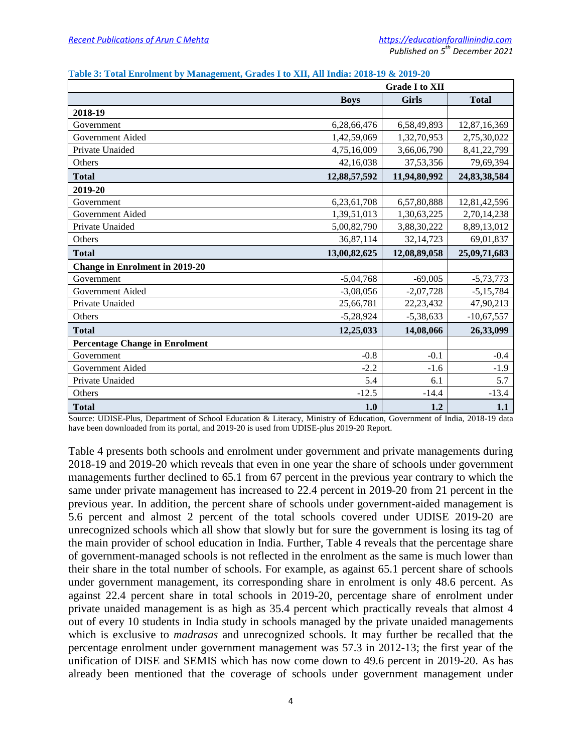|                                       | <b>Grade I to XII</b> |              |              |  |  |
|---------------------------------------|-----------------------|--------------|--------------|--|--|
|                                       | <b>Boys</b>           | <b>Girls</b> | <b>Total</b> |  |  |
| 2018-19                               |                       |              |              |  |  |
| Government                            | 6,28,66,476           | 6,58,49,893  | 12,87,16,369 |  |  |
| Government Aided                      | 1,42,59,069           | 1,32,70,953  | 2,75,30,022  |  |  |
| Private Unaided                       | 4,75,16,009           | 3,66,06,790  | 8,41,22,799  |  |  |
| Others                                | 42,16,038             | 37,53,356    | 79,69,394    |  |  |
| <b>Total</b>                          | 12,88,57,592          | 11,94,80,992 | 24,83,38,584 |  |  |
| 2019-20                               |                       |              |              |  |  |
| Government                            | 6,23,61,708           | 6,57,80,888  | 12,81,42,596 |  |  |
| Government Aided                      | 1,39,51,013           | 1,30,63,225  | 2,70,14,238  |  |  |
| Private Unaided                       | 5,00,82,790           | 3,88,30,222  | 8,89,13,012  |  |  |
| Others                                | 36,87,114             | 32, 14, 723  | 69,01,837    |  |  |
| <b>Total</b>                          | 13,00,82,625          | 12,08,89,058 | 25,09,71,683 |  |  |
| <b>Change in Enrolment in 2019-20</b> |                       |              |              |  |  |
| Government                            | $-5,04,768$           | $-69,005$    | $-5,73,773$  |  |  |
| Government Aided                      | $-3,08,056$           | $-2,07,728$  | $-5,15,784$  |  |  |
| Private Unaided                       | 25,66,781             | 22, 23, 432  | 47,90,213    |  |  |
| Others                                | $-5,28,924$           | $-5,38,633$  | $-10,67,557$ |  |  |
| <b>Total</b>                          | 12,25,033             | 14,08,066    | 26,33,099    |  |  |
| <b>Percentage Change in Enrolment</b> |                       |              |              |  |  |
| Government                            | $-0.8$                | $-0.1$       | $-0.4$       |  |  |
| Government Aided                      | $-2.2$                | $-1.6$       | $-1.9$       |  |  |
| Private Unaided                       | 5.4                   | 6.1          | 5.7          |  |  |
| Others                                | $-12.5$               | $-14.4$      | $-13.4$      |  |  |
| <b>Total</b>                          | 1.0                   | 1.2          | 1.1          |  |  |

#### **Table 3: Total Enrolment by Management, Grades I to XII, All India: 2018-19 & 2019-20**

Source: UDISE-Plus, Department of School Education & Literacy, Ministry of Education, Government of India, 2018-19 data have been downloaded from its portal, and 2019-20 is used from UDISE-plus 2019-20 Report.

Table 4 presents both schools and enrolment under government and private managements during 2018-19 and 2019-20 which reveals that even in one year the share of schools under government managements further declined to 65.1 from 67 percent in the previous year contrary to which the same under private management has increased to 22.4 percent in 2019-20 from 21 percent in the previous year. In addition, the percent share of schools under government-aided management is 5.6 percent and almost 2 percent of the total schools covered under UDISE 2019-20 are unrecognized schools which all show that slowly but for sure the government is losing its tag of the main provider of school education in India. Further, Table 4 reveals that the percentage share of government-managed schools is not reflected in the enrolment as the same is much lower than their share in the total number of schools. For example, as against 65.1 percent share of schools under government management, its corresponding share in enrolment is only 48.6 percent. As against 22.4 percent share in total schools in 2019-20, percentage share of enrolment under private unaided management is as high as 35.4 percent which practically reveals that almost 4 out of every 10 students in India study in schools managed by the private unaided managements which is exclusive to *madrasas* and unrecognized schools. It may further be recalled that the percentage enrolment under government management was 57.3 in 2012-13; the first year of the unification of DISE and SEMIS which has now come down to 49.6 percent in 2019-20. As has already been mentioned that the coverage of schools under government management under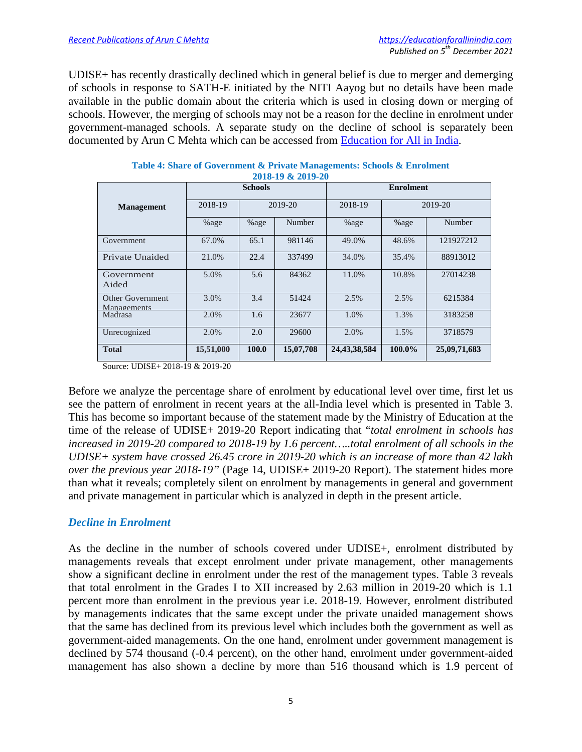UDISE+ has recently drastically declined which in general belief is due to merger and demerging of schools in response to SATH-E initiated by the NITI Aayog but no details have been made available in the public domain about the criteria which is used in closing down or merging of schools. However, the merging of schools may not be a reason for the decline in enrolment under government-managed schools. A separate study on the decline of school is separately been documented by Arun C Mehta which can be accessed from [Education for All in India.](https://educationforallinindia.com/is-india-moving-towards-privatisation-of-school-education/)

| 4010-17 W 4017-40               |           |                |           |                  |        |              |  |  |  |
|---------------------------------|-----------|----------------|-----------|------------------|--------|--------------|--|--|--|
|                                 |           | <b>Schools</b> |           | <b>Enrolment</b> |        |              |  |  |  |
| <b>Management</b>               | 2018-19   | 2019-20        |           | 2018-19          |        | 2019-20      |  |  |  |
|                                 | %age      | %age           | Number    | %age             | %age   | Number       |  |  |  |
| Government                      | 67.0%     | 65.1           | 981146    | 49.0%            | 48.6%  | 121927212    |  |  |  |
| Private Unaided                 | 21.0%     | 22.4           | 337499    | 34.0%            | 35.4%  | 88913012     |  |  |  |
| Government<br>Aided             | 5.0%      | 5.6            | 84362     | 11.0%            | 10.8%  | 27014238     |  |  |  |
| Other Government<br>Managements | 3.0%      | 3.4            | 51424     | 2.5%             | 2.5%   | 6215384      |  |  |  |
| Madrasa                         | 2.0%      | 1.6            | 23677     | 1.0%             | 1.3%   | 3183258      |  |  |  |
| Unrecognized                    | 2.0%      | 2.0            | 29600     | 2.0%             | 1.5%   | 3718579      |  |  |  |
| <b>Total</b>                    | 15,51,000 | 100.0          | 15,07,708 | 24,43,38,584     | 100.0% | 25,09,71,683 |  |  |  |

#### **Table 4: Share of Government & Private Managements: Schools & Enrolment 2018-19 & 2019-20**

Source: UDISE+ 2018-19 & 2019-20

Before we analyze the percentage share of enrolment by educational level over time, first let us see the pattern of enrolment in recent years at the all-India level which is presented in Table 3. This has become so important because of the statement made by the Ministry of Education at the time of the release of UDISE+ 2019-20 Report indicating that "*total enrolment in schools has increased in 2019-20 compared to 2018-19 by 1.6 percent…..total enrolment of all schools in the UDISE+ system have crossed 26.45 crore in 2019-20 which is an increase of more than 42 lakh over the previous year 2018-19"* (Page 14, UDISE+ 2019-20 Report). The statement hides more than what it reveals; completely silent on enrolment by managements in general and government and private management in particular which is analyzed in depth in the present article.

## *Decline in Enrolment*

As the decline in the number of schools covered under UDISE+, enrolment distributed by managements reveals that except enrolment under private management, other managements show a significant decline in enrolment under the rest of the management types. Table 3 reveals that total enrolment in the Grades I to XII increased by 2.63 million in 2019-20 which is 1.1 percent more than enrolment in the previous year i.e. 2018-19. However, enrolment distributed by managements indicates that the same except under the private unaided management shows that the same has declined from its previous level which includes both the government as well as government-aided managements. On the one hand, enrolment under government management is declined by 574 thousand (-0.4 percent), on the other hand, enrolment under government-aided management has also shown a decline by more than 516 thousand which is 1.9 percent of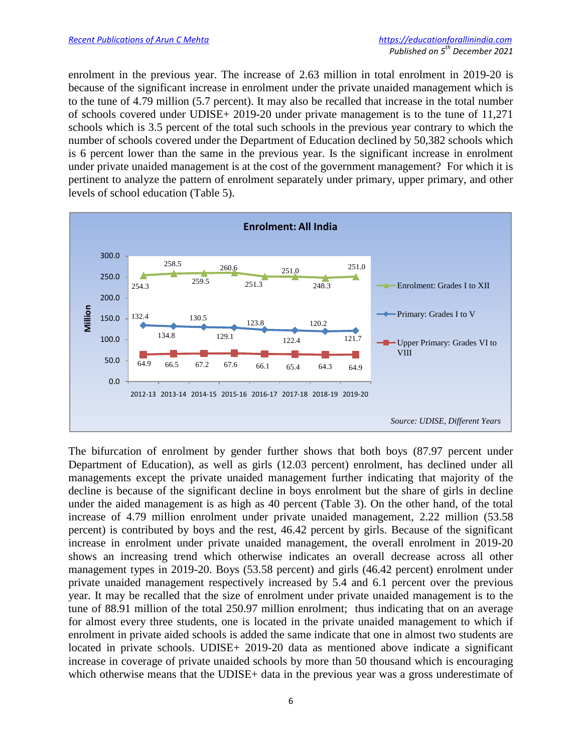enrolment in the previous year. The increase of 2.63 million in total enrolment in 2019-20 is because of the significant increase in enrolment under the private unaided management which is to the tune of 4.79 million (5.7 percent). It may also be recalled that increase in the total number of schools covered under UDISE+ 2019-20 under private management is to the tune of 11,271 schools which is 3.5 percent of the total such schools in the previous year contrary to which the number of schools covered under the Department of Education declined by 50,382 schools which is 6 percent lower than the same in the previous year. Is the significant increase in enrolment under private unaided management is at the cost of the government management? For which it is pertinent to analyze the pattern of enrolment separately under primary, upper primary, and other levels of school education (Table 5).



The bifurcation of enrolment by gender further shows that both boys (87.97 percent under Department of Education), as well as girls (12.03 percent) enrolment, has declined under all managements except the private unaided management further indicating that majority of the decline is because of the significant decline in boys enrolment but the share of girls in decline under the aided management is as high as 40 percent (Table 3). On the other hand, of the total increase of 4.79 million enrolment under private unaided management, 2.22 million (53.58 percent) is contributed by boys and the rest, 46.42 percent by girls. Because of the significant increase in enrolment under private unaided management, the overall enrolment in 2019-20 shows an increasing trend which otherwise indicates an overall decrease across all other management types in 2019-20. Boys (53.58 percent) and girls (46.42 percent) enrolment under private unaided management respectively increased by 5.4 and 6.1 percent over the previous year. It may be recalled that the size of enrolment under private unaided management is to the tune of 88.91 million of the total 250.97 million enrolment; thus indicating that on an average for almost every three students, one is located in the private unaided management to which if enrolment in private aided schools is added the same indicate that one in almost two students are located in private schools. UDISE+ 2019-20 data as mentioned above indicate a significant increase in coverage of private unaided schools by more than 50 thousand which is encouraging which otherwise means that the UDISE+ data in the previous year was a gross underestimate of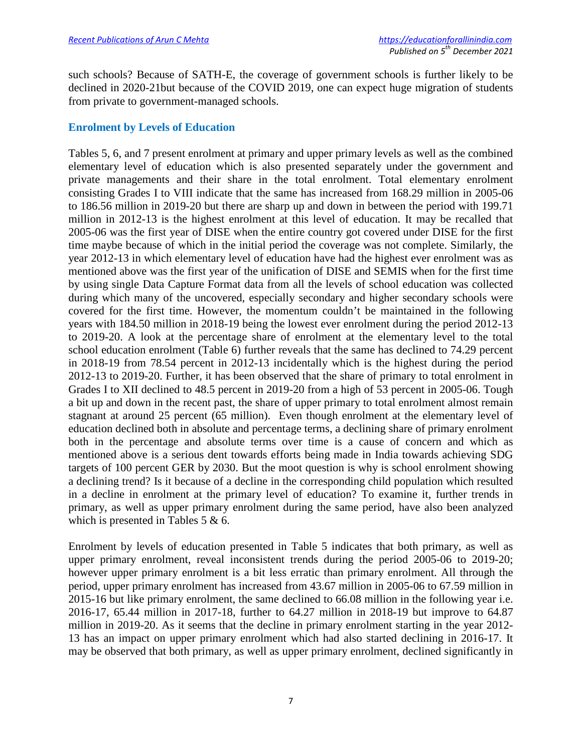such schools? Because of SATH-E, the coverage of government schools is further likely to be declined in 2020-21but because of the COVID 2019, one can expect huge migration of students from private to government-managed schools.

## **Enrolment by Levels of Education**

Tables 5, 6, and 7 present enrolment at primary and upper primary levels as well as the combined elementary level of education which is also presented separately under the government and private managements and their share in the total enrolment. Total elementary enrolment consisting Grades I to VIII indicate that the same has increased from 168.29 million in 2005-06 to 186.56 million in 2019-20 but there are sharp up and down in between the period with 199.71 million in 2012-13 is the highest enrolment at this level of education. It may be recalled that 2005-06 was the first year of DISE when the entire country got covered under DISE for the first time maybe because of which in the initial period the coverage was not complete. Similarly, the year 2012-13 in which elementary level of education have had the highest ever enrolment was as mentioned above was the first year of the unification of DISE and SEMIS when for the first time by using single Data Capture Format data from all the levels of school education was collected during which many of the uncovered, especially secondary and higher secondary schools were covered for the first time. However, the momentum couldn't be maintained in the following years with 184.50 million in 2018-19 being the lowest ever enrolment during the period 2012-13 to 2019-20. A look at the percentage share of enrolment at the elementary level to the total school education enrolment (Table 6) further reveals that the same has declined to 74.29 percent in 2018-19 from 78.54 percent in 2012-13 incidentally which is the highest during the period 2012-13 to 2019-20. Further, it has been observed that the share of primary to total enrolment in Grades I to XII declined to 48.5 percent in 2019-20 from a high of 53 percent in 2005-06. Tough a bit up and down in the recent past, the share of upper primary to total enrolment almost remain stagnant at around 25 percent (65 million). Even though enrolment at the elementary level of education declined both in absolute and percentage terms, a declining share of primary enrolment both in the percentage and absolute terms over time is a cause of concern and which as mentioned above is a serious dent towards efforts being made in India towards achieving SDG targets of 100 percent GER by 2030. But the moot question is why is school enrolment showing a declining trend? Is it because of a decline in the corresponding child population which resulted in a decline in enrolment at the primary level of education? To examine it, further trends in primary, as well as upper primary enrolment during the same period, have also been analyzed which is presented in Tables 5 & 6.

Enrolment by levels of education presented in Table 5 indicates that both primary, as well as upper primary enrolment, reveal inconsistent trends during the period 2005-06 to 2019-20; however upper primary enrolment is a bit less erratic than primary enrolment. All through the period, upper primary enrolment has increased from 43.67 million in 2005-06 to 67.59 million in 2015-16 but like primary enrolment, the same declined to 66.08 million in the following year i.e. 2016-17, 65.44 million in 2017-18, further to 64.27 million in 2018-19 but improve to 64.87 million in 2019-20. As it seems that the decline in primary enrolment starting in the year 2012- 13 has an impact on upper primary enrolment which had also started declining in 2016-17. It may be observed that both primary, as well as upper primary enrolment, declined significantly in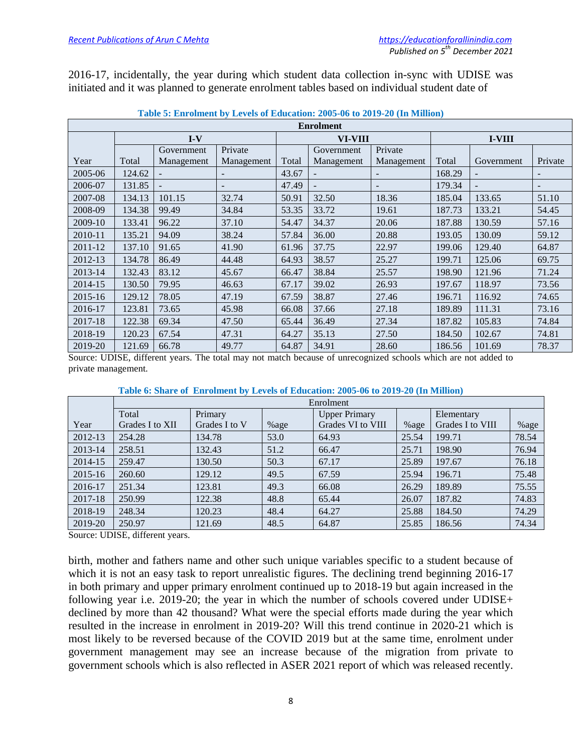2016-17, incidentally, the year during which student data collection in-sync with UDISE was initiated and it was planned to generate enrolment tables based on individual student date of

| <b>Enrolment</b> |        |                |            |       |                |            |        |            |         |  |  |
|------------------|--------|----------------|------------|-------|----------------|------------|--------|------------|---------|--|--|
|                  |        | $I-V$          |            |       | <b>VI-VIII</b> |            | I-VIII |            |         |  |  |
|                  |        | Government     | Private    |       | Government     | Private    |        |            |         |  |  |
| Year             | Total  | Management     | Management | Total | Management     | Management | Total  | Government | Private |  |  |
| 2005-06          | 124.62 |                |            | 43.67 |                |            | 168.29 |            |         |  |  |
| 2006-07          | 131.85 | $\blacksquare$ |            | 47.49 |                |            | 179.34 |            |         |  |  |
| 2007-08          | 134.13 | 101.15         | 32.74      | 50.91 | 32.50          | 18.36      | 185.04 | 133.65     | 51.10   |  |  |
| 2008-09          | 134.38 | 99.49          | 34.84      | 53.35 | 33.72          | 19.61      | 187.73 | 133.21     | 54.45   |  |  |
| 2009-10          | 133.41 | 96.22          | 37.10      | 54.47 | 34.37          | 20.06      | 187.88 | 130.59     | 57.16   |  |  |
| 2010-11          | 135.21 | 94.09          | 38.24      | 57.84 | 36.00          | 20.88      | 193.05 | 130.09     | 59.12   |  |  |
| 2011-12          | 137.10 | 91.65          | 41.90      | 61.96 | 37.75          | 22.97      | 199.06 | 129.40     | 64.87   |  |  |
| 2012-13          | 134.78 | 86.49          | 44.48      | 64.93 | 38.57          | 25.27      | 199.71 | 125.06     | 69.75   |  |  |
| 2013-14          | 132.43 | 83.12          | 45.67      | 66.47 | 38.84          | 25.57      | 198.90 | 121.96     | 71.24   |  |  |
| 2014-15          | 130.50 | 79.95          | 46.63      | 67.17 | 39.02          | 26.93      | 197.67 | 118.97     | 73.56   |  |  |
| 2015-16          | 129.12 | 78.05          | 47.19      | 67.59 | 38.87          | 27.46      | 196.71 | 116.92     | 74.65   |  |  |
| 2016-17          | 123.81 | 73.65          | 45.98      | 66.08 | 37.66          | 27.18      | 189.89 | 111.31     | 73.16   |  |  |
| 2017-18          | 122.38 | 69.34          | 47.50      | 65.44 | 36.49          | 27.34      | 187.82 | 105.83     | 74.84   |  |  |
| 2018-19          | 120.23 | 67.54          | 47.31      | 64.27 | 35.13          | 27.50      | 184.50 | 102.67     | 74.81   |  |  |
| 2019-20          | 121.69 | 66.78          | 49.77      | 64.87 | 34.91          | 28.60      | 186.56 | 101.69     | 78.37   |  |  |

| Table 5: Enrolment by Levels of Education: 2005-06 to 2019-20 (In Million) |  |  |
|----------------------------------------------------------------------------|--|--|
|                                                                            |  |  |

Source: UDISE, different years. The total may not match because of unrecognized schools which are not added to private management.

|         | Enrolment       |               |      |                      |         |                  |       |  |  |  |
|---------|-----------------|---------------|------|----------------------|---------|------------------|-------|--|--|--|
|         | Total           | Primary       |      | <b>Upper Primary</b> |         | Elementary       |       |  |  |  |
| Year    | Grades I to XII | Grades I to V | %age | Grades VI to VIII    | $%$ age | Grades I to VIII | %age  |  |  |  |
| 2012-13 | 254.28          | 134.78        | 53.0 | 64.93                | 25.54   | 199.71           | 78.54 |  |  |  |
| 2013-14 | 258.51          | 132.43        | 51.2 | 66.47                | 25.71   | 198.90           | 76.94 |  |  |  |
| 2014-15 | 259.47          | 130.50        | 50.3 | 67.17                | 25.89   | 197.67           | 76.18 |  |  |  |
| 2015-16 | 260.60          | 129.12        | 49.5 | 67.59                | 25.94   | 196.71           | 75.48 |  |  |  |
| 2016-17 | 251.34          | 123.81        | 49.3 | 66.08                | 26.29   | 189.89           | 75.55 |  |  |  |
| 2017-18 | 250.99          | 122.38        | 48.8 | 65.44                | 26.07   | 187.82           | 74.83 |  |  |  |
| 2018-19 | 248.34          | 120.23        | 48.4 | 64.27                | 25.88   | 184.50           | 74.29 |  |  |  |
| 2019-20 | 250.97          | 121.69        | 48.5 | 64.87                | 25.85   | 186.56           | 74.34 |  |  |  |

#### **Table 6: Share of Enrolment by Levels of Education: 2005-06 to 2019-20 (In Million)**

Source: UDISE, different years.

birth, mother and fathers name and other such unique variables specific to a student because of which it is not an easy task to report unrealistic figures. The declining trend beginning 2016-17 in both primary and upper primary enrolment continued up to 2018-19 but again increased in the following year i.e. 2019-20; the year in which the number of schools covered under UDISE+ declined by more than 42 thousand? What were the special efforts made during the year which resulted in the increase in enrolment in 2019-20? Will this trend continue in 2020-21 which is most likely to be reversed because of the COVID 2019 but at the same time, enrolment under government management may see an increase because of the migration from private to government schools which is also reflected in ASER 2021 report of which was released recently.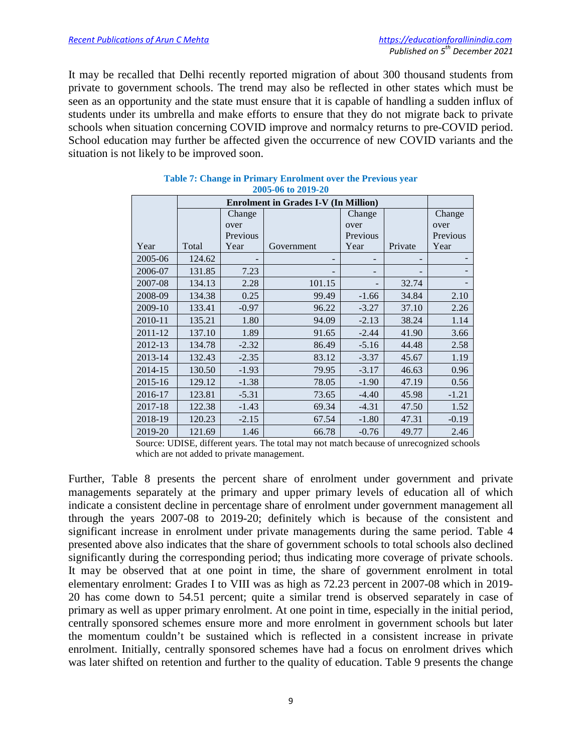It may be recalled that Delhi recently reported migration of about 300 thousand students from private to government schools. The trend may also be reflected in other states which must be seen as an opportunity and the state must ensure that it is capable of handling a sudden influx of students under its umbrella and make efforts to ensure that they do not migrate back to private schools when situation concerning COVID improve and normalcy returns to pre-COVID period. School education may further be affected given the occurrence of new COVID variants and the situation is not likely to be improved soon.

| $\blacksquare$ uvu-vv iv $\blacksquare$ vi- $\blacksquare$ v |        |          |            |          |         |          |  |  |  |  |
|--------------------------------------------------------------|--------|----------|------------|----------|---------|----------|--|--|--|--|
| <b>Enrolment in Grades I-V (In Million)</b>                  |        |          |            |          |         |          |  |  |  |  |
|                                                              |        | Change   |            | Change   |         | Change   |  |  |  |  |
|                                                              |        | over     |            | over     |         | over     |  |  |  |  |
|                                                              |        | Previous |            | Previous |         | Previous |  |  |  |  |
| Year                                                         | Total  | Year     | Government | Year     | Private | Year     |  |  |  |  |
| 2005-06                                                      | 124.62 |          |            |          |         |          |  |  |  |  |
| 2006-07                                                      | 131.85 | 7.23     |            |          |         |          |  |  |  |  |
| 2007-08                                                      | 134.13 | 2.28     | 101.15     |          | 32.74   |          |  |  |  |  |
| 2008-09                                                      | 134.38 | 0.25     | 99.49      | $-1.66$  | 34.84   | 2.10     |  |  |  |  |
| 2009-10                                                      | 133.41 | $-0.97$  | 96.22      | $-3.27$  | 37.10   | 2.26     |  |  |  |  |
| 2010-11                                                      | 135.21 | 1.80     | 94.09      | $-2.13$  | 38.24   | 1.14     |  |  |  |  |
| 2011-12                                                      | 137.10 | 1.89     | 91.65      | $-2.44$  | 41.90   | 3.66     |  |  |  |  |
| 2012-13                                                      | 134.78 | $-2.32$  | 86.49      | $-5.16$  | 44.48   | 2.58     |  |  |  |  |
| 2013-14                                                      | 132.43 | $-2.35$  | 83.12      | $-3.37$  | 45.67   | 1.19     |  |  |  |  |
| 2014-15                                                      | 130.50 | $-1.93$  | 79.95      | $-3.17$  | 46.63   | 0.96     |  |  |  |  |
| 2015-16                                                      | 129.12 | $-1.38$  | 78.05      | $-1.90$  | 47.19   | 0.56     |  |  |  |  |
| 2016-17                                                      | 123.81 | $-5.31$  | 73.65      | $-4.40$  | 45.98   | $-1.21$  |  |  |  |  |
| 2017-18                                                      | 122.38 | $-1.43$  | 69.34      | $-4.31$  | 47.50   | 1.52     |  |  |  |  |
| 2018-19                                                      | 120.23 | $-2.15$  | 67.54      | $-1.80$  | 47.31   | $-0.19$  |  |  |  |  |
| 2019-20                                                      | 121.69 | 1.46     | 66.78      | $-0.76$  | 49.77   | 2.46     |  |  |  |  |

#### **Table 7: Change in Primary Enrolment over the Previous year 2005-06 to 2019-20**

Source: UDISE, different years. The total may not match because of unrecognized schools which are not added to private management.

Further, Table 8 presents the percent share of enrolment under government and private managements separately at the primary and upper primary levels of education all of which indicate a consistent decline in percentage share of enrolment under government management all through the years 2007-08 to 2019-20; definitely which is because of the consistent and significant increase in enrolment under private managements during the same period. Table 4 presented above also indicates that the share of government schools to total schools also declined significantly during the corresponding period; thus indicating more coverage of private schools. It may be observed that at one point in time, the share of government enrolment in total elementary enrolment: Grades I to VIII was as high as 72.23 percent in 2007-08 which in 2019- 20 has come down to 54.51 percent; quite a similar trend is observed separately in case of primary as well as upper primary enrolment. At one point in time, especially in the initial period, centrally sponsored schemes ensure more and more enrolment in government schools but later the momentum couldn't be sustained which is reflected in a consistent increase in private enrolment. Initially, centrally sponsored schemes have had a focus on enrolment drives which was later shifted on retention and further to the quality of education. Table 9 presents the change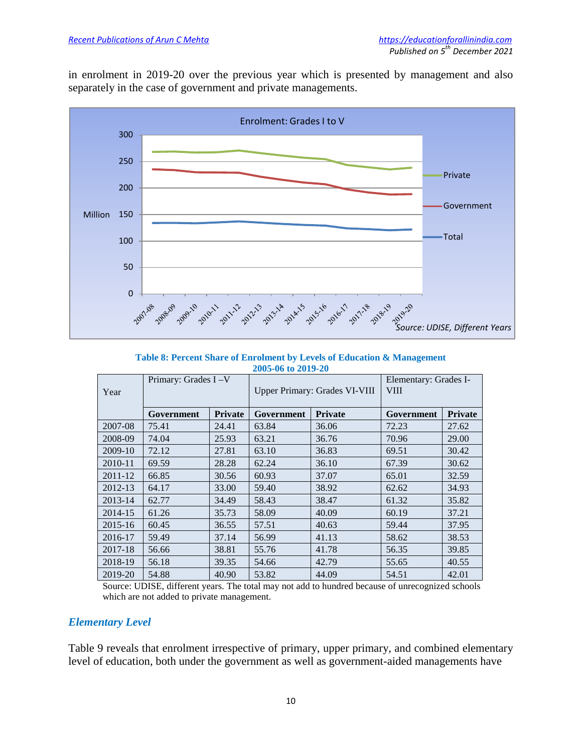in enrolment in 2019-20 over the previous year which is presented by management and also separately in the case of government and private managements.



**Table 8: Percent Share of Enrolment by Levels of Education & Management 2005-06 to 2019-20**

| Year    | Primary: Grades I-V |                | <b>Upper Primary: Grades VI-VIII</b> |                | Elementary: Grades I-<br><b>VIII</b> |                |
|---------|---------------------|----------------|--------------------------------------|----------------|--------------------------------------|----------------|
|         | Government          | <b>Private</b> | Government                           | <b>Private</b> | Government                           | <b>Private</b> |
| 2007-08 | 75.41               | 24.41          | 63.84                                | 36.06          | 72.23                                | 27.62          |
| 2008-09 | 74.04               | 25.93          | 63.21                                | 36.76          | 70.96                                | 29.00          |
| 2009-10 | 72.12               | 27.81          | 63.10                                | 36.83          | 69.51                                | 30.42          |
| 2010-11 | 69.59               | 28.28          | 62.24                                | 36.10          | 67.39                                | 30.62          |
| 2011-12 | 66.85               | 30.56          | 60.93                                | 37.07          | 65.01                                | 32.59          |
| 2012-13 | 64.17               | 33.00          | 59.40                                | 38.92          | 62.62                                | 34.93          |
| 2013-14 | 62.77               | 34.49          | 58.43                                | 38.47          | 61.32                                | 35.82          |
| 2014-15 | 61.26               | 35.73          | 58.09                                | 40.09          | 60.19                                | 37.21          |
| 2015-16 | 60.45               | 36.55          | 57.51                                | 40.63          | 59.44                                | 37.95          |
| 2016-17 | 59.49               | 37.14          | 56.99                                | 41.13          | 58.62                                | 38.53          |
| 2017-18 | 56.66               | 38.81          | 55.76                                | 41.78          | 56.35                                | 39.85          |
| 2018-19 | 56.18               | 39.35          | 54.66                                | 42.79          | 55.65                                | 40.55          |
| 2019-20 | 54.88               | 40.90          | 53.82                                | 44.09          | 54.51                                | 42.01          |

Source: UDISE, different years. The total may not add to hundred because of unrecognized schools which are not added to private management.

## *Elementary Level*

Table 9 reveals that enrolment irrespective of primary, upper primary, and combined elementary level of education, both under the government as well as government-aided managements have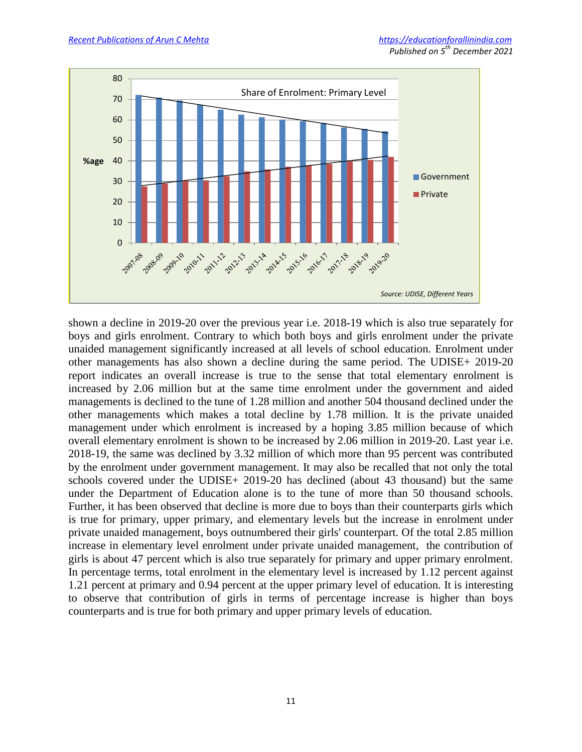

shown a decline in 2019-20 over the previous year i.e. 2018-19 which is also true separately for boys and girls enrolment. Contrary to which both boys and girls enrolment under the private unaided management significantly increased at all levels of school education. Enrolment under other managements has also shown a decline during the same period. The UDISE+ 2019-20 report indicates an overall increase is true to the sense that total elementary enrolment is increased by 2.06 million but at the same time enrolment under the government and aided managements is declined to the tune of 1.28 million and another 504 thousand declined under the other managements which makes a total decline by 1.78 million. It is the private unaided management under which enrolment is increased by a hoping 3.85 million because of which overall elementary enrolment is shown to be increased by 2.06 million in 2019-20. Last year i.e. 2018-19, the same was declined by 3.32 million of which more than 95 percent was contributed by the enrolment under government management. It may also be recalled that not only the total schools covered under the UDISE+ 2019-20 has declined (about 43 thousand) but the same under the Department of Education alone is to the tune of more than 50 thousand schools. Further, it has been observed that decline is more due to boys than their counterparts girls which is true for primary, upper primary, and elementary levels but the increase in enrolment under private unaided management, boys outnumbered their girls' counterpart. Of the total 2.85 million increase in elementary level enrolment under private unaided management, the contribution of girls is about 47 percent which is also true separately for primary and upper primary enrolment. In percentage terms, total enrolment in the elementary level is increased by 1.12 percent against 1.21 percent at primary and 0.94 percent at the upper primary level of education. It is interesting to observe that contribution of girls in terms of percentage increase is higher than boys counterparts and is true for both primary and upper primary levels of education.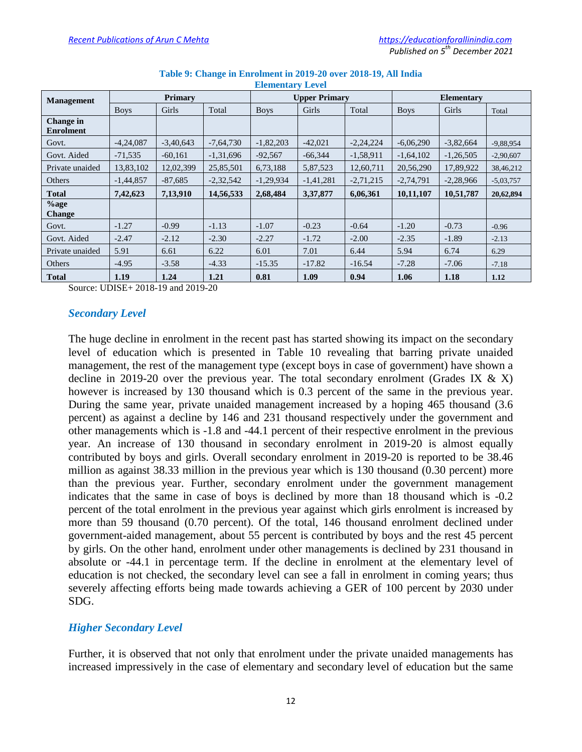| <b>Management</b>             | <b>Primary</b> |             |             | <b>Upper Primary</b> |             |             | <b>Elementary</b> |             |             |
|-------------------------------|----------------|-------------|-------------|----------------------|-------------|-------------|-------------------|-------------|-------------|
|                               | <b>Boys</b>    | Girls       | Total       | <b>Boys</b>          | Girls       | Total       | <b>Boys</b>       | Girls       | Total       |
| Change in<br><b>Enrolment</b> |                |             |             |                      |             |             |                   |             |             |
| Govt.                         | $-4,24,087$    | $-3.40.643$ | $-7,64,730$ | $-1,82,203$          | $-42,021$   | $-2,24,224$ | $-6.06.290$       | $-3,82,664$ | $-9,88,954$ |
| Govt. Aided                   | $-71.535$      | $-60.161$   | $-1.31.696$ | $-92,567$            | $-66,344$   | $-1.58.911$ | $-1.64.102$       | $-1,26,505$ | $-2,90,607$ |
| Private unaided               | 13,83,102      | 12.02.399   | 25,85,501   | 6,73,188             | 5,87,523    | 12,60,711   | 20,56,290         | 17.89.922   | 38,46,212   |
| Others                        | $-1.44.857$    | $-87.685$   | $-2,32,542$ | $-1,29,934$          | $-1,41,281$ | $-2.71.215$ | $-2,74,791$       | $-2,28,966$ | $-5,03,757$ |
| <b>Total</b>                  | 7,42,623       | 7.13.910    | 14,56,533   | 2,68,484             | 3,37,877    | 6.06.361    | 10,11,107         | 10,51,787   | 20,62,894   |
| $%$ age<br><b>Change</b>      |                |             |             |                      |             |             |                   |             |             |
| Govt.                         | $-1.27$        | $-0.99$     | $-1.13$     | $-1.07$              | $-0.23$     | $-0.64$     | $-1.20$           | $-0.73$     | $-0.96$     |
| Govt. Aided                   | $-2.47$        | $-2.12$     | $-2.30$     | $-2.27$              | $-1.72$     | $-2.00$     | $-2.35$           | $-1.89$     | $-2.13$     |
| Private unaided               | 5.91           | 6.61        | 6.22        | 6.01                 | 7.01        | 6.44        | 5.94              | 6.74        | 6.29        |
| Others                        | $-4.95$        | $-3.58$     | $-4.33$     | $-15.35$             | $-17.82$    | $-16.54$    | $-7.28$           | $-7.06$     | $-7.18$     |
| <b>Total</b>                  | 1.19           | 1.24        | 1.21        | 0.81                 | 1.09        | 0.94        | 1.06              | 1.18        | 1.12        |

#### **Table 9: Change in Enrolment in 2019-20 over 2018-19, All India Elementary Level**

Source: UDISE+ 2018-19 and 2019-20

## *Secondary Level*

The huge decline in enrolment in the recent past has started showing its impact on the secondary level of education which is presented in Table 10 revealing that barring private unaided management, the rest of the management type (except boys in case of government) have shown a decline in 2019-20 over the previous year. The total secondary enrolment (Grades IX  $\&$  X) however is increased by 130 thousand which is 0.3 percent of the same in the previous year. During the same year, private unaided management increased by a hoping 465 thousand (3.6 percent) as against a decline by 146 and 231 thousand respectively under the government and other managements which is -1.8 and -44.1 percent of their respective enrolment in the previous year. An increase of 130 thousand in secondary enrolment in 2019-20 is almost equally contributed by boys and girls. Overall secondary enrolment in 2019-20 is reported to be 38.46 million as against 38.33 million in the previous year which is 130 thousand (0.30 percent) more than the previous year. Further, secondary enrolment under the government management indicates that the same in case of boys is declined by more than 18 thousand which is -0.2 percent of the total enrolment in the previous year against which girls enrolment is increased by more than 59 thousand (0.70 percent). Of the total, 146 thousand enrolment declined under government-aided management, about 55 percent is contributed by boys and the rest 45 percent by girls. On the other hand, enrolment under other managements is declined by 231 thousand in absolute or -44.1 in percentage term. If the decline in enrolment at the elementary level of education is not checked, the secondary level can see a fall in enrolment in coming years; thus severely affecting efforts being made towards achieving a GER of 100 percent by 2030 under SDG.

## *Higher Secondary Level*

Further, it is observed that not only that enrolment under the private unaided managements has increased impressively in the case of elementary and secondary level of education but the same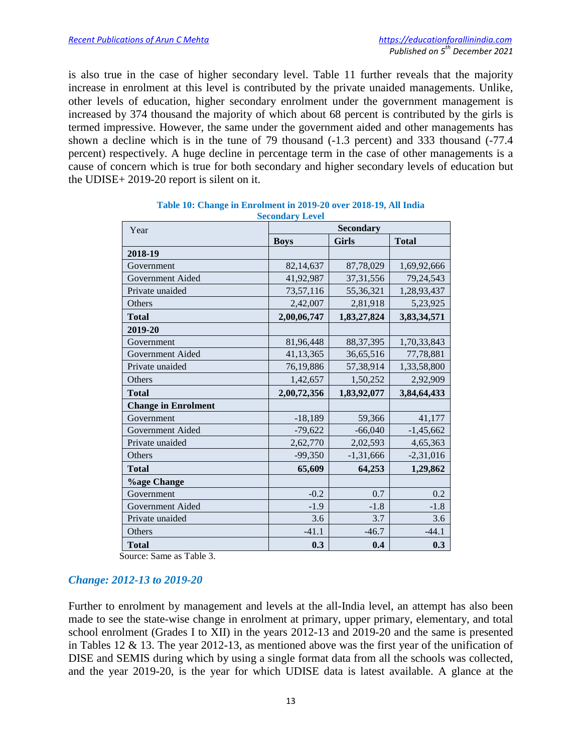is also true in the case of higher secondary level. Table 11 further reveals that the majority increase in enrolment at this level is contributed by the private unaided managements. Unlike, other levels of education, higher secondary enrolment under the government management is increased by 374 thousand the majority of which about 68 percent is contributed by the girls is termed impressive. However, the same under the government aided and other managements has shown a decline which is in the tune of 79 thousand (-1.3 percent) and 333 thousand (-77.4 percent) respectively. A huge decline in percentage term in the case of other managements is a cause of concern which is true for both secondary and higher secondary levels of education but the UDISE+ 2019-20 report is silent on it.

| Year                       | <b>Secondary</b> |              |              |  |  |  |
|----------------------------|------------------|--------------|--------------|--|--|--|
|                            | <b>Boys</b>      | <b>Girls</b> | <b>Total</b> |  |  |  |
| 2018-19                    |                  |              |              |  |  |  |
| Government                 | 82,14,637        | 87,78,029    | 1,69,92,666  |  |  |  |
| Government Aided           | 41,92,987        | 37, 31, 556  | 79, 24, 543  |  |  |  |
| Private unaided            | 73,57,116        | 55,36,321    | 1,28,93,437  |  |  |  |
| Others                     | 2,42,007         | 2,81,918     | 5,23,925     |  |  |  |
| <b>Total</b>               | 2,00,06,747      | 1,83,27,824  | 3,83,34,571  |  |  |  |
| 2019-20                    |                  |              |              |  |  |  |
| Government                 | 81,96,448        | 88, 37, 395  | 1,70,33,843  |  |  |  |
| Government Aided           | 41, 13, 365      | 36,65,516    | 77,78,881    |  |  |  |
| Private unaided            | 76,19,886        | 57, 38, 914  | 1,33,58,800  |  |  |  |
| Others                     | 1,42,657         | 1,50,252     | 2,92,909     |  |  |  |
| <b>Total</b>               | 2,00,72,356      | 1,83,92,077  | 3,84,64,433  |  |  |  |
| <b>Change in Enrolment</b> |                  |              |              |  |  |  |
| Government                 | $-18,189$        | 59,366       | 41,177       |  |  |  |
| Government Aided           | $-79,622$        | $-66,040$    | $-1,45,662$  |  |  |  |
| Private unaided            | 2,62,770         | 2,02,593     | 4,65,363     |  |  |  |
| Others                     | $-99,350$        | $-1,31,666$  | $-2,31,016$  |  |  |  |
| <b>Total</b>               | 65,609           | 64,253       | 1,29,862     |  |  |  |
| <b>%age Change</b>         |                  |              |              |  |  |  |
| Government                 | $-0.2$           | 0.7          | 0.2          |  |  |  |
| Government Aided           | $-1.9$           | $-1.8$       | $-1.8$       |  |  |  |
| Private unaided            | 3.6              | 3.7          | 3.6          |  |  |  |
| Others                     | $-41.1$          | $-46.7$      | $-44.1$      |  |  |  |
| <b>Total</b>               | 0.3              | 0.4          | 0.3          |  |  |  |

| Table 10: Change in Enrolment in 2019-20 over 2018-19, All India |  |
|------------------------------------------------------------------|--|
| <b>Secondary Level</b>                                           |  |

Source: Same as Table 3.

## *Change: 2012-13 to 2019-20*

Further to enrolment by management and levels at the all-India level, an attempt has also been made to see the state-wise change in enrolment at primary, upper primary, elementary, and total school enrolment (Grades I to XII) in the years 2012-13 and 2019-20 and the same is presented in Tables 12 & 13. The year 2012-13, as mentioned above was the first year of the unification of DISE and SEMIS during which by using a single format data from all the schools was collected, and the year 2019-20, is the year for which UDISE data is latest available. A glance at the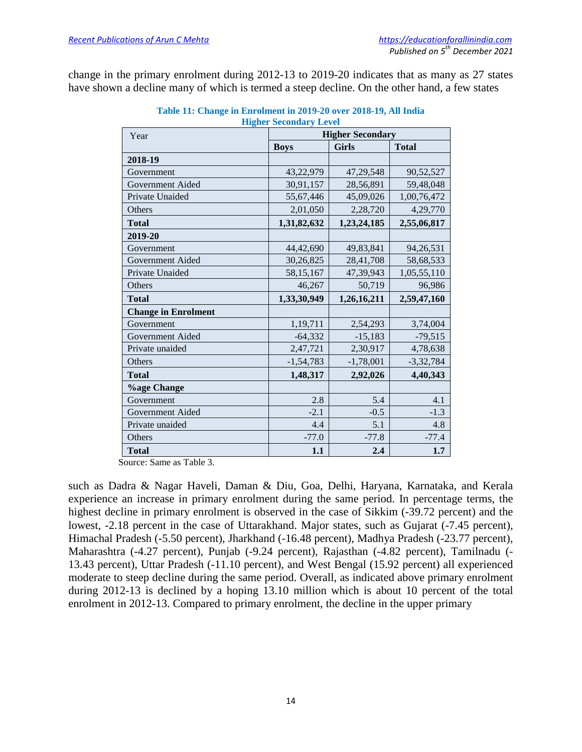change in the primary enrolment during 2012-13 to 2019-20 indicates that as many as 27 states have shown a decline many of which is termed a steep decline. On the other hand, a few states

| Year                       | <b>Higher Secondary</b> |              |              |  |  |  |
|----------------------------|-------------------------|--------------|--------------|--|--|--|
|                            | <b>Boys</b>             | <b>Girls</b> | <b>Total</b> |  |  |  |
| 2018-19                    |                         |              |              |  |  |  |
| Government                 | 43,22,979               | 47, 29, 548  | 90,52,527    |  |  |  |
| Government Aided           | 30,91,157               | 28,56,891    | 59,48,048    |  |  |  |
| Private Unaided            | 55,67,446               | 45,09,026    | 1,00,76,472  |  |  |  |
| Others                     | 2,01,050                | 2,28,720     | 4,29,770     |  |  |  |
| <b>Total</b>               | 1,31,82,632             | 1,23,24,185  | 2,55,06,817  |  |  |  |
| 2019-20                    |                         |              |              |  |  |  |
| Government                 | 44,42,690               | 49,83,841    | 94,26,531    |  |  |  |
| Government Aided           | 30,26,825               | 28,41,708    | 58,68,533    |  |  |  |
| Private Unaided            | 58,15,167               | 47,39,943    | 1,05,55,110  |  |  |  |
| Others                     | 46,267                  | 50,719       | 96,986       |  |  |  |
| <b>Total</b>               | 1,33,30,949             | 1,26,16,211  | 2,59,47,160  |  |  |  |
| <b>Change in Enrolment</b> |                         |              |              |  |  |  |
| Government                 | 1,19,711                | 2,54,293     | 3,74,004     |  |  |  |
| Government Aided           | $-64,332$               | $-15,183$    | $-79,515$    |  |  |  |
| Private unaided            | 2,47,721                | 2,30,917     | 4,78,638     |  |  |  |
| Others                     | $-1,54,783$             | $-1,78,001$  | $-3,32,784$  |  |  |  |
| <b>Total</b>               | 1,48,317                | 2,92,026     | 4,40,343     |  |  |  |
| <b>%age Change</b>         |                         |              |              |  |  |  |
| Government                 | 2.8                     | 5.4          | 4.1          |  |  |  |
| Government Aided           | $-2.1$                  | $-0.5$       | $-1.3$       |  |  |  |
| Private unaided            | 4.4                     | 5.1          | 4.8          |  |  |  |
| Others                     | $-77.0$                 | $-77.8$      | $-77.4$      |  |  |  |
| <b>Total</b>               | 1.1                     | 2.4          | 1.7          |  |  |  |

## **Table 11: Change in Enrolment in 2019-20 over 2018-19, All India Higher Secondary Level**

Source: Same as Table 3.

such as Dadra & Nagar Haveli, Daman & Diu, Goa, Delhi, Haryana, Karnataka, and Kerala experience an increase in primary enrolment during the same period. In percentage terms, the highest decline in primary enrolment is observed in the case of Sikkim (-39.72 percent) and the lowest,  $-2.18$  percent in the case of Uttarakhand. Major states, such as Gujarat  $(-7.45$  percent), Himachal Pradesh (-5.50 percent), Jharkhand (-16.48 percent), Madhya Pradesh (-23.77 percent), Maharashtra (-4.27 percent), Punjab (-9.24 percent), Rajasthan (-4.82 percent), Tamilnadu (- 13.43 percent), Uttar Pradesh (-11.10 percent), and West Bengal (15.92 percent) all experienced moderate to steep decline during the same period. Overall, as indicated above primary enrolment during 2012-13 is declined by a hoping 13.10 million which is about 10 percent of the total enrolment in 2012-13. Compared to primary enrolment, the decline in the upper primary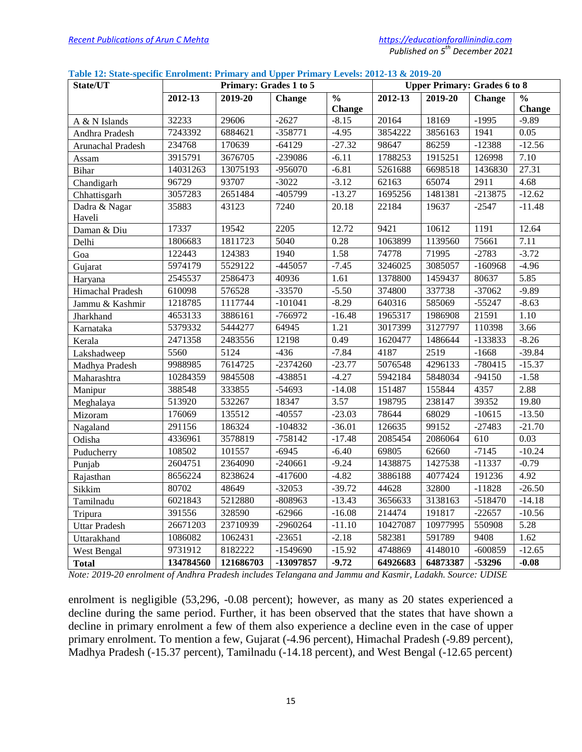#### **Table 12: State-specific Enrolment: Primary and Upper Primary Levels: 2012-13 & 2019-20**

| State/UT             |           | Primary: Grades 1 to 5<br><b>Upper Primary: Grades 6 to 8</b> |            |                          |                                         |          |                          |          |
|----------------------|-----------|---------------------------------------------------------------|------------|--------------------------|-----------------------------------------|----------|--------------------------|----------|
|                      | 2012-13   | 2019-20                                                       | Change     | $\overline{\frac{0}{0}}$ | $2012 - 13$<br>2019-20<br><b>Change</b> |          | $\overline{\frac{0}{0}}$ |          |
|                      |           |                                                               |            | <b>Change</b>            |                                         |          |                          | Change   |
| A & N Islands        | 32233     | 29606                                                         | $-2627$    | $-8.15$                  | 20164                                   | 18169    | $-1995$                  | $-9.89$  |
| Andhra Pradesh       | 7243392   | 6884621                                                       | $-358771$  | $-4.95$                  | 3854222                                 | 3856163  | 1941                     | 0.05     |
| Arunachal Pradesh    | 234768    | 170639                                                        | $-64129$   | $-27.32$                 | 98647                                   | 86259    | $-12388$                 | $-12.56$ |
| Assam                | 3915791   | 3676705                                                       | -239086    | $-6.11$                  | 1788253                                 | 1915251  | 126998                   | 7.10     |
| <b>Bihar</b>         | 14031263  | 13075193                                                      | $-956070$  | $-6.81$                  | 5261688                                 | 6698518  | 1436830                  | 27.31    |
| Chandigarh           | 96729     | 93707                                                         | $-3022$    | $-3.12$                  | 62163                                   | 65074    | 2911                     | 4.68     |
| Chhattisgarh         | 3057283   | 2651484                                                       | -405799    | $-13.27$                 | 1695256                                 | 1481381  | $-213875$                | $-12.62$ |
| Dadra & Nagar        | 35883     | 43123                                                         | 7240       | 20.18                    | 22184                                   | 19637    | $-2547$                  | $-11.48$ |
| Haveli               |           |                                                               |            |                          |                                         |          |                          |          |
| Daman & Diu          | 17337     | 19542                                                         | 2205       | 12.72                    | 9421                                    | 10612    | 1191                     | 12.64    |
| Delhi                | 1806683   | 1811723                                                       | 5040       | 0.28                     | 1063899                                 | 1139560  | 75661                    | 7.11     |
| Goa                  | 122443    | 124383                                                        | 1940       | 1.58                     | 74778                                   | 71995    | $-2783$                  | $-3.72$  |
| Gujarat              | 5974179   | 5529122                                                       | $-445057$  | $-7.45$                  | 3246025                                 | 3085057  | $-160968$                | $-4.96$  |
| Haryana              | 2545537   | 2586473                                                       | 40936      | 1.61                     | 1378800                                 | 1459437  | 80637                    | 5.85     |
| Himachal Pradesh     | 610098    | 576528                                                        | $-33570$   | $-5.50$                  | 374800                                  | 337738   | $-37062$                 | $-9.89$  |
| Jammu & Kashmir      | 1218785   | 1117744                                                       | $-101041$  | $-8.29$                  | 640316                                  | 585069   | $-55247$                 | $-8.63$  |
| Jharkhand            | 4653133   | 3886161                                                       | $-766972$  | $-16.48$                 | 1965317                                 | 1986908  | 21591                    | 1.10     |
| Karnataka            | 5379332   | 5444277                                                       | 64945      | 1.21                     | 3017399                                 | 3127797  | 110398                   | 3.66     |
| Kerala               | 2471358   | 2483556                                                       | 12198      | 0.49                     | 1620477                                 | 1486644  | -133833                  | $-8.26$  |
| Lakshadweep          | 5560      | 5124                                                          | $-436$     | $-7.84$                  | 4187                                    | 2519     | $-1668$                  | $-39.84$ |
| Madhya Pradesh       | 9988985   | 7614725                                                       | $-2374260$ | $-23.77$                 | 5076548                                 | 4296133  | $-780415$                | $-15.37$ |
| Maharashtra          | 10284359  | 9845508                                                       | -438851    | $-4.27$                  | 5942184                                 | 5848034  | $-94150$                 | $-1.58$  |
| Manipur              | 388548    | 333855                                                        | $-54693$   | $-14.08$                 | 151487                                  | 155844   | 4357                     | 2.88     |
| Meghalaya            | 513920    | 532267                                                        | 18347      | 3.57                     | 198795                                  | 238147   | 39352                    | 19.80    |
| Mizoram              | 176069    | 135512                                                        | $-40557$   | $-23.03$                 | 78644                                   | 68029    | $-10615$                 | $-13.50$ |
| Nagaland             | 291156    | 186324                                                        | $-104832$  | $-36.01$                 | 126635                                  | 99152    | $-27483$                 | $-21.70$ |
| Odisha               | 4336961   | 3578819                                                       | $-758142$  | $-17.48$                 | 2085454                                 | 2086064  | 610                      | 0.03     |
| Puducherry           | 108502    | 101557                                                        | $-6945$    | $-6.40$                  | 69805                                   | 62660    | $-7145$                  | $-10.24$ |
| Punjab               | 2604751   | 2364090                                                       | $-240661$  | $-9.24$                  | 1438875                                 | 1427538  | $-11337$                 | $-0.79$  |
| Rajasthan            | 8656224   | 8238624                                                       | $-417600$  | $-4.82$                  | 3886188                                 | 4077424  | 191236                   | 4.92     |
| Sikkim               | 80702     | 48649                                                         | $-32053$   | $-39.72$                 | 44628                                   | 32800    | $-11828$                 | $-26.50$ |
| Tamilnadu            | 6021843   | 5212880                                                       | $-808963$  | $-13.43$                 | 3656633                                 | 3138163  | $-518470$                | $-14.18$ |
| Tripura              | 391556    | 328590                                                        | $-62966$   | $-16.08$                 | 214474                                  | 191817   | $-22657$                 | $-10.56$ |
| <b>Uttar Pradesh</b> | 26671203  | 23710939                                                      | $-2960264$ | $-11.10$                 | 10427087                                | 10977995 | 550908                   | 5.28     |
| Uttarakhand          | 1086082   | 1062431                                                       | $-23651$   | $-2.18$                  | 582381                                  | 591789   | 9408                     | 1.62     |
| <b>West Bengal</b>   | 9731912   | 8182222                                                       | $-1549690$ | $-15.92$                 | 4748869                                 | 4148010  | $-600859$                | $-12.65$ |
| <b>Total</b>         | 134784560 | 121686703                                                     | -13097857  | $-9.72$                  | 64926683                                | 64873387 | -53296                   | $-0.08$  |

*Note: 2019-20 enrolment of Andhra Pradesh includes Telangana and Jammu and Kasmir, Ladakh. Source: UDISE*

enrolment is negligible (53,296, -0.08 percent); however, as many as 20 states experienced a decline during the same period. Further, it has been observed that the states that have shown a decline in primary enrolment a few of them also experience a decline even in the case of upper primary enrolment. To mention a few, Gujarat (-4.96 percent), Himachal Pradesh (-9.89 percent), Madhya Pradesh (-15.37 percent), Tamilnadu (-14.18 percent), and West Bengal (-12.65 percent)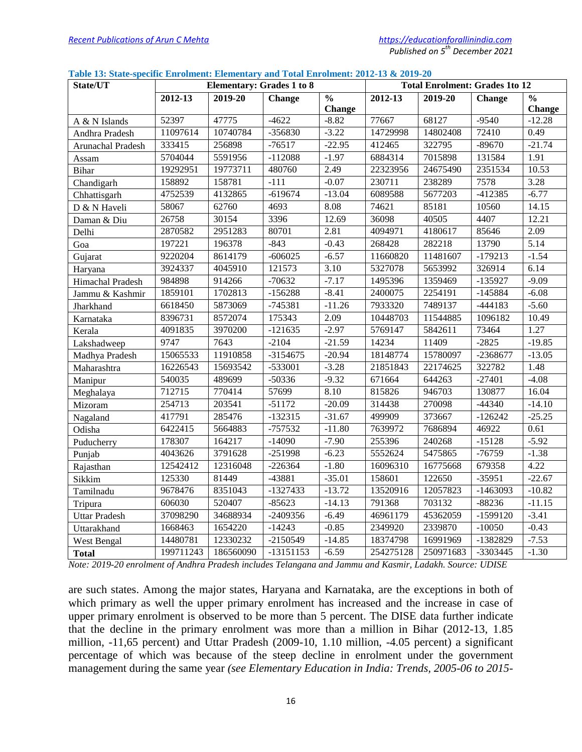|  |  |  | Table 13: State-specific Enrolment: Elementary and Total Enrolment: 2012-13 & 2019-20 |  |
|--|--|--|---------------------------------------------------------------------------------------|--|
|  |  |  |                                                                                       |  |

| State/UT             | <b>Elementary: Grades 1 to 8</b> |           | <b>Total Enrolment: Grades 1to 12</b> |               |           |           |               |                          |
|----------------------|----------------------------------|-----------|---------------------------------------|---------------|-----------|-----------|---------------|--------------------------|
|                      | 2012-13                          | 2019-20   | <b>Change</b>                         | $\frac{0}{0}$ | 2012-13   | 2019-20   | <b>Change</b> | $\overline{\frac{0}{0}}$ |
|                      |                                  |           |                                       | <b>Change</b> |           |           |               | <b>Change</b>            |
| A & N Islands        | 52397                            | 47775     | $-4622$                               | $-8.82$       | 77667     | 68127     | $-9540$       | $-12.28$                 |
| Andhra Pradesh       | 11097614                         | 10740784  | -356830                               | $-3.22$       | 14729998  | 14802408  | 72410         | 0.49                     |
| Arunachal Pradesh    | 333415                           | 256898    | $-76517$                              | $-22.95$      | 412465    | 322795    | $-89670$      | $-21.74$                 |
| Assam                | 5704044                          | 5591956   | $-112088$                             | $-1.97$       | 6884314   | 7015898   | 131584        | 1.91                     |
| <b>Bihar</b>         | 19292951                         | 19773711  | 480760                                | 2.49          | 22323956  | 24675490  | 2351534       | 10.53                    |
| Chandigarh           | 158892                           | 158781    | $-111$                                | $-0.07$       | 230711    | 238289    | 7578          | 3.28                     |
| Chhattisgarh         | 4752539                          | 4132865   | $-619674$                             | $-13.04$      | 6089588   | 5677203   | -412385       | $-6.77$                  |
| D & N Haveli         | 58067                            | 62760     | 4693                                  | 8.08          | 74621     | 85181     | 10560         | 14.15                    |
| Daman & Diu          | 26758                            | 30154     | 3396                                  | 12.69         | 36098     | 40505     | 4407          | 12.21                    |
| Delhi                | 2870582                          | 2951283   | 80701                                 | 2.81          | 4094971   | 4180617   | 85646         | 2.09                     |
| Goa                  | 197221                           | 196378    | $-843$                                | $-0.43$       | 268428    | 282218    | 13790         | 5.14                     |
| Gujarat              | 9220204                          | 8614179   | $-606025$                             | $-6.57$       | 11660820  | 11481607  | $-179213$     | $-1.54$                  |
| Haryana              | 3924337                          | 4045910   | 121573                                | 3.10          | 5327078   | 5653992   | 326914        | 6.14                     |
| Himachal Pradesh     | 984898                           | 914266    | $-70632$                              | $-7.17$       | 1495396   | 1359469   | $-135927$     | $-9.09$                  |
| Jammu & Kashmir      | 1859101                          | 1702813   | $-156288$                             | $-8.41$       | 2400075   | 2254191   | $-145884$     | $-6.08$                  |
| Jharkhand            | 6618450                          | 5873069   | $-745381$                             | $-11.26$      | 7933320   | 7489137   | $-444183$     | $-5.60$                  |
| Karnataka            | 8396731                          | 8572074   | 175343                                | 2.09          | 10448703  | 11544885  | 1096182       | 10.49                    |
| Kerala               | 4091835                          | 3970200   | $-121635$                             | $-2.97$       | 5769147   | 5842611   | 73464         | 1.27                     |
| Lakshadweep          | 9747                             | 7643      | $-2104$                               | $-21.59$      | 14234     | 11409     | $-2825$       | $-19.85$                 |
| Madhya Pradesh       | 15065533                         | 11910858  | $-3154675$                            | $-20.94$      | 18148774  | 15780097  | -2368677      | $-13.05$                 |
| Maharashtra          | 16226543                         | 15693542  | -533001                               | $-3.28$       | 21851843  | 22174625  | 322782        | 1.48                     |
| Manipur              | 540035                           | 489699    | $-50336$                              | $-9.32$       | 671664    | 644263    | $-27401$      | $-4.08$                  |
| Meghalaya            | 712715                           | 770414    | 57699                                 | 8.10          | 815826    | 946703    | 130877        | 16.04                    |
| Mizoram              | 254713                           | 203541    | $-51172$                              | $-20.09$      | 314438    | 270098    | $-44340$      | $-14.10$                 |
| Nagaland             | 417791                           | 285476    | $-132315$                             | $-31.67$      | 499909    | 373667    | $-126242$     | $-25.25$                 |
| Odisha               | 6422415                          | 5664883   | $-757532$                             | $-11.80$      | 7639972   | 7686894   | 46922         | 0.61                     |
| Puducherry           | 178307                           | 164217    | $-14090$                              | $-7.90$       | 255396    | 240268    | $-15128$      | $-5.92$                  |
| Punjab               | 4043626                          | 3791628   | $-251998$                             | $-6.23$       | 5552624   | 5475865   | $-76759$      | $-1.38$                  |
| Rajasthan            | 12542412                         | 12316048  | $-226364$                             | $-1.80$       | 16096310  | 16775668  | 679358        | 4.22                     |
| Sikkim               | 125330                           | 81449     | $-43881$                              | $-35.01$      | 158601    | 122650    | $-35951$      | $-22.67$                 |
| Tamilnadu            | 9678476                          | 8351043   | -1327433                              | $-13.72$      | 13520916  | 12057823  | $-1463093$    | $-10.82$                 |
| Tripura              | 606030                           | 520407    | $-85623$                              | $-14.13$      | 791368    | 703132    | $-88236$      | $-11.15$                 |
| <b>Uttar Pradesh</b> | 37098290                         | 34688934  | $-2409356$                            | $-6.49$       | 46961179  | 45362059  | $-1599120$    | $-3.41$                  |
| Uttarakhand          | 1668463                          | 1654220   | $-14243$                              | $-0.85$       | 2349920   | 2339870   | $-10050$      | $-0.43$                  |
| West Bengal          | 14480781                         | 12330232  | $-2150549$                            | $-14.85$      | 18374798  | 16991969  | -1382829      | $-7.53$                  |
| <b>Total</b>         | 199711243                        | 186560090 | $-13151153$                           | $-6.59$       | 254275128 | 250971683 | -3303445      | $-1.30$                  |

*Note: 2019-20 enrolment of Andhra Pradesh includes Telangana and Jammu and Kasmir, Ladakh. Source: UDISE*

are such states. Among the major states, Haryana and Karnataka, are the exceptions in both of which primary as well the upper primary enrolment has increased and the increase in case of upper primary enrolment is observed to be more than 5 percent. The DISE data further indicate that the decline in the primary enrolment was more than a million in Bihar (2012-13, 1.85 million, -11,65 percent) and Uttar Pradesh (2009-10, 1.10 million, -4.05 percent) a significant percentage of which was because of the steep decline in enrolment under the government management during the same year *(see Elementary Education in India: Trends, 2005-06 to 2015-*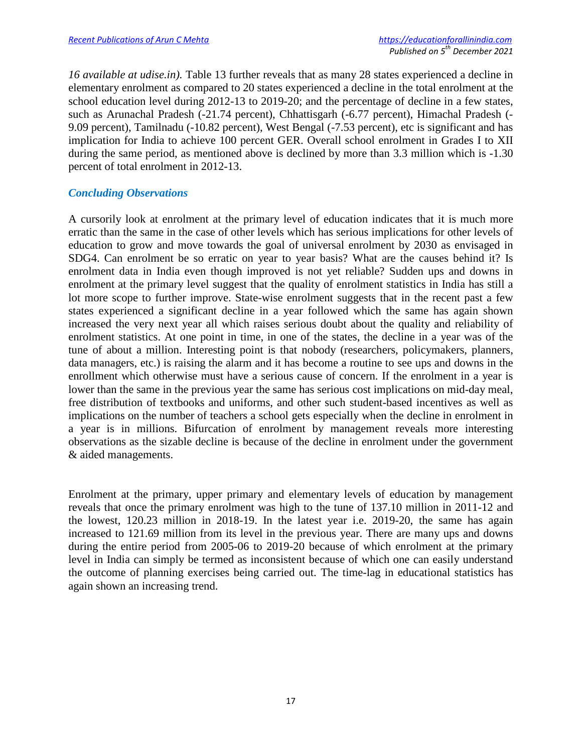*16 available at udise.in).* Table 13 further reveals that as many 28 states experienced a decline in elementary enrolment as compared to 20 states experienced a decline in the total enrolment at the school education level during 2012-13 to 2019-20; and the percentage of decline in a few states, such as Arunachal Pradesh (-21.74 percent), Chhattisgarh (-6.77 percent), Himachal Pradesh (- 9.09 percent), Tamilnadu (-10.82 percent), West Bengal (-7.53 percent), etc is significant and has implication for India to achieve 100 percent GER. Overall school enrolment in Grades I to XII during the same period, as mentioned above is declined by more than 3.3 million which is -1.30 percent of total enrolment in 2012-13.

## *Concluding Observations*

A cursorily look at enrolment at the primary level of education indicates that it is much more erratic than the same in the case of other levels which has serious implications for other levels of education to grow and move towards the goal of universal enrolment by 2030 as envisaged in SDG4. Can enrolment be so erratic on year to year basis? What are the causes behind it? Is enrolment data in India even though improved is not yet reliable? Sudden ups and downs in enrolment at the primary level suggest that the quality of enrolment statistics in India has still a lot more scope to further improve. State-wise enrolment suggests that in the recent past a few states experienced a significant decline in a year followed which the same has again shown increased the very next year all which raises serious doubt about the quality and reliability of enrolment statistics. At one point in time, in one of the states, the decline in a year was of the tune of about a million. Interesting point is that nobody (researchers, policymakers, planners, data managers, etc.) is raising the alarm and it has become a routine to see ups and downs in the enrollment which otherwise must have a serious cause of concern. If the enrolment in a year is lower than the same in the previous year the same has serious cost implications on mid-day meal, free distribution of textbooks and uniforms, and other such student-based incentives as well as implications on the number of teachers a school gets especially when the decline in enrolment in a year is in millions. Bifurcation of enrolment by management reveals more interesting observations as the sizable decline is because of the decline in enrolment under the government & aided managements.

Enrolment at the primary, upper primary and elementary levels of education by management reveals that once the primary enrolment was high to the tune of 137.10 million in 2011-12 and the lowest, 120.23 million in 2018-19. In the latest year i.e. 2019-20, the same has again increased to 121.69 million from its level in the previous year. There are many ups and downs during the entire period from 2005-06 to 2019-20 because of which enrolment at the primary level in India can simply be termed as inconsistent because of which one can easily understand the outcome of planning exercises being carried out. The time-lag in educational statistics has again shown an increasing trend.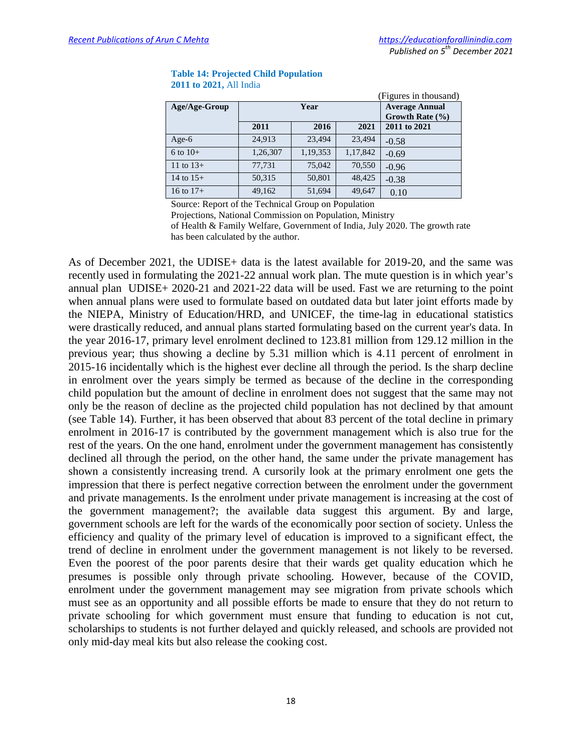| Age/Age-Group |          | Year     | <b>Average Annual</b><br>Growth Rate $(\% )$ |              |
|---------------|----------|----------|----------------------------------------------|--------------|
|               | 2011     | 2016     | 2021                                         | 2011 to 2021 |
| Age- $6$      | 24,913   | 23,494   | 23,494                                       | $-0.58$      |
| $6$ to $10+$  | 1,26,307 | 1,19,353 | 1,17,842                                     | $-0.69$      |
| 11 to $13+$   | 77,731   | 75,042   | 70,550                                       | $-0.96$      |
| 14 to $15+$   | 50,315   | 50,801   | 48,425                                       | $-0.38$      |
| 16 to $17+$   | 49,162   | 51,694   | 49,647                                       | 0.10         |

#### **Table 14: Projected Child Population 2011 to 2021,** All India

Source: Report of the Technical Group on Population

Projections, National Commission on Population, Ministry

of Health & Family Welfare, Government of India, July 2020. The growth rate has been calculated by the author.

As of December 2021, the UDISE+ data is the latest available for 2019-20, and the same was recently used in formulating the 2021-22 annual work plan. The mute question is in which year's annual plan UDISE+ 2020-21 and 2021-22 data will be used. Fast we are returning to the point when annual plans were used to formulate based on outdated data but later joint efforts made by the NIEPA, Ministry of Education/HRD, and UNICEF, the time-lag in educational statistics were drastically reduced, and annual plans started formulating based on the current year's data. In the year 2016-17, primary level enrolment declined to 123.81 million from 129.12 million in the previous year; thus showing a decline by 5.31 million which is 4.11 percent of enrolment in 2015-16 incidentally which is the highest ever decline all through the period. Is the sharp decline in enrolment over the years simply be termed as because of the decline in the corresponding child population but the amount of decline in enrolment does not suggest that the same may not only be the reason of decline as the projected child population has not declined by that amount (see Table 14). Further, it has been observed that about 83 percent of the total decline in primary enrolment in 2016-17 is contributed by the government management which is also true for the rest of the years. On the one hand, enrolment under the government management has consistently declined all through the period, on the other hand, the same under the private management has shown a consistently increasing trend. A cursorily look at the primary enrolment one gets the impression that there is perfect negative correction between the enrolment under the government and private managements. Is the enrolment under private management is increasing at the cost of the government management?; the available data suggest this argument. By and large, government schools are left for the wards of the economically poor section of society. Unless the efficiency and quality of the primary level of education is improved to a significant effect, the trend of decline in enrolment under the government management is not likely to be reversed. Even the poorest of the poor parents desire that their wards get quality education which he presumes is possible only through private schooling. However, because of the COVID, enrolment under the government management may see migration from private schools which must see as an opportunity and all possible efforts be made to ensure that they do not return to private schooling for which government must ensure that funding to education is not cut, scholarships to students is not further delayed and quickly released, and schools are provided not only mid-day meal kits but also release the cooking cost.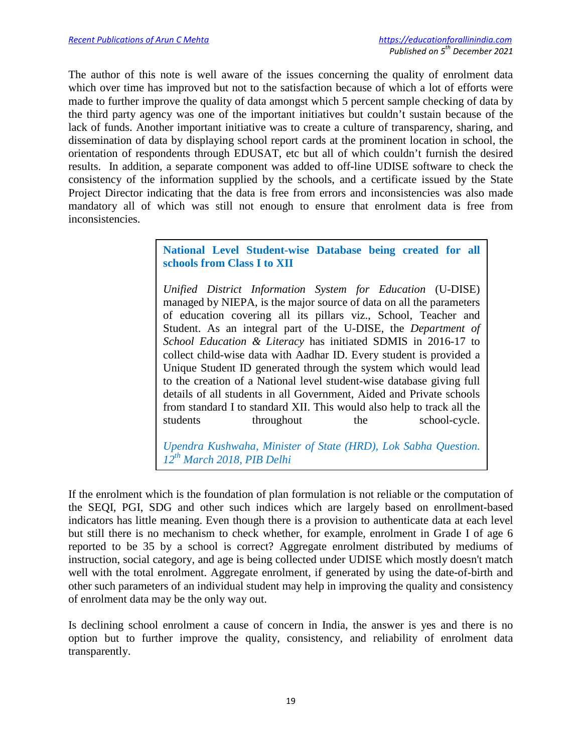The author of this note is well aware of the issues concerning the quality of enrolment data which over time has improved but not to the satisfaction because of which a lot of efforts were made to further improve the quality of data amongst which 5 percent sample checking of data by the third party agency was one of the important initiatives but couldn't sustain because of the lack of funds. Another important initiative was to create a culture of transparency, sharing, and dissemination of data by displaying school report cards at the prominent location in school, the orientation of respondents through EDUSAT, etc but all of which couldn't furnish the desired results. In addition, a separate component was added to off-line UDISE software to check the consistency of the information supplied by the schools, and a certificate issued by the State Project Director indicating that the data is free from errors and inconsistencies was also made mandatory all of which was still not enough to ensure that enrolment data is free from inconsistencies.

> **National Level Student-wise Database being created for all schools from Class I to XII**

> *Unified District Information System for Education* (U-DISE) managed by NIEPA, is the major source of data on all the parameters of education covering all its pillars viz., School, Teacher and Student. As an integral part of the U-DISE, the *Department of School Education & Literacy* has initiated SDMIS in 2016-17 to collect child-wise data with Aadhar ID. Every student is provided a Unique Student ID generated through the system which would lead to the creation of a National level student-wise database giving full details of all students in all Government, Aided and Private schools from standard I to standard XII. This would also help to track all the students throughout the school-cycle.

> *Upendra Kushwaha, Minister of State (HRD), Lok Sabha Question. 12th March 2018, PIB Delhi*

If the enrolment which is the foundation of plan formulation is not reliable or the computation of the SEQI, PGI, SDG and other such indices which are largely based on enrollment-based indicators has little meaning. Even though there is a provision to authenticate data at each level but still there is no mechanism to check whether, for example, enrolment in Grade I of age 6 reported to be 35 by a school is correct? Aggregate enrolment distributed by mediums of instruction, social category, and age is being collected under UDISE which mostly doesn't match well with the total enrolment. Aggregate enrolment, if generated by using the date-of-birth and other such parameters of an individual student may help in improving the quality and consistency of enrolment data may be the only way out.

Is declining school enrolment a cause of concern in India, the answer is yes and there is no option but to further improve the quality, consistency, and reliability of enrolment data transparently.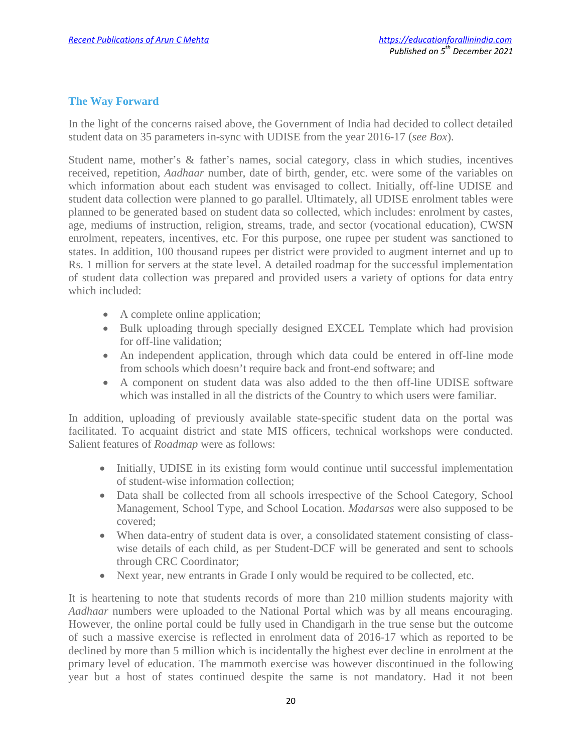## **The Way Forward**

In the light of the concerns raised above, the Government of India had decided to collect detailed student data on 35 parameters in-sync with UDISE from the year 2016-17 (*see Box*).

Student name, mother's & father's names, social category, class in which studies, incentives received, repetition, *Aadhaar* number, date of birth, gender, etc. were some of the variables on which information about each student was envisaged to collect. Initially, off-line UDISE and student data collection were planned to go parallel. Ultimately, all UDISE enrolment tables were planned to be generated based on student data so collected, which includes: enrolment by castes, age, mediums of instruction, religion, streams, trade, and sector (vocational education), CWSN enrolment, repeaters, incentives, etc. For this purpose, one rupee per student was sanctioned to states. In addition, 100 thousand rupees per district were provided to augment internet and up to Rs. 1 million for servers at the state level. A detailed roadmap for the successful implementation of student data collection was prepared and provided users a variety of options for data entry which included:

- A complete online application;
- Bulk uploading through specially designed EXCEL Template which had provision for off-line validation;
- An independent application, through which data could be entered in off-line mode from schools which doesn't require back and front-end software; and
- A component on student data was also added to the then off-line UDISE software which was installed in all the districts of the Country to which users were familiar.

In addition, uploading of previously available state-specific student data on the portal was facilitated. To acquaint district and state MIS officers, technical workshops were conducted. Salient features of *Roadmap* were as follows:

- Initially, UDISE in its existing form would continue until successful implementation of student-wise information collection;
- Data shall be collected from all schools irrespective of the School Category, School Management, School Type, and School Location. *Madarsas* were also supposed to be covered;
- When data-entry of student data is over, a consolidated statement consisting of classwise details of each child, as per Student-DCF will be generated and sent to schools through CRC Coordinator;
- Next year, new entrants in Grade I only would be required to be collected, etc.

It is heartening to note that students records of more than 210 million students majority with *Aadhaar* numbers were uploaded to the National Portal which was by all means encouraging. However, the online portal could be fully used in Chandigarh in the true sense but the outcome of such a massive exercise is reflected in enrolment data of 2016-17 which as reported to be declined by more than 5 million which is incidentally the highest ever decline in enrolment at the primary level of education. The mammoth exercise was however discontinued in the following year but a host of states continued despite the same is not mandatory. Had it not been